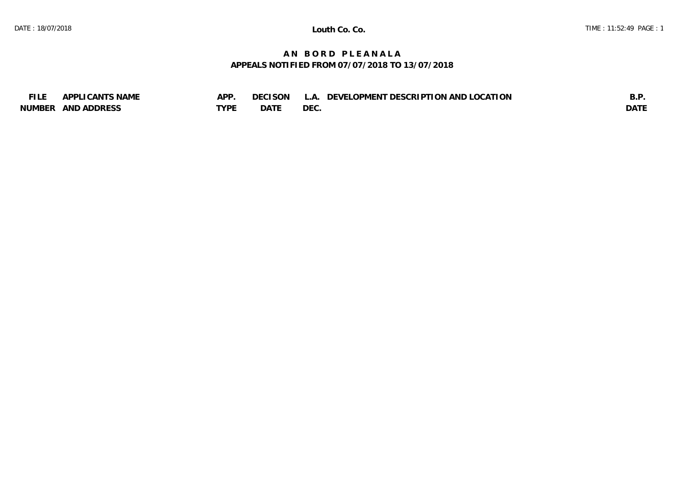## **A N B O R D P L E A N A L A APPEALS NOTIFIED FROM 07/07/2018 TO 13/07/2018**

| EU E          | <b>CANTS NAME</b>  | <b>APP</b> | <b>CISON</b><br>7F ( | T DESCRIPTION AND LOCATION<br>' OPMENT<br>DEVEI<br>$\Delta$ | ⊷<br>◡.     |
|---------------|--------------------|------------|----------------------|-------------------------------------------------------------|-------------|
| <b>NUMBER</b> | <b>AND ADDRESS</b> | LVDL       | DATE                 | <b>DEC</b>                                                  | <b>DATI</b> |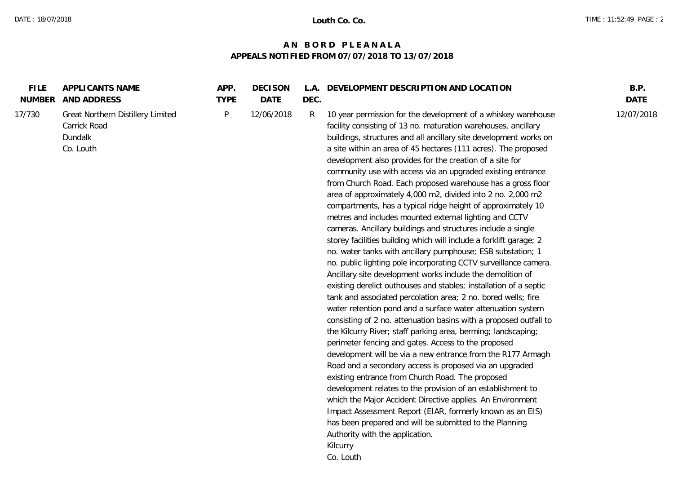## **A N B O R D P L E A N A L A APPEALS NOTIFIED FROM 07/07/2018 TO 13/07/2018**

| <b>FILE</b><br><b>NUMBER</b> | APPLICANTS NAME<br>AND ADDRESS                                            | APP.<br><b>TYPE</b> | <b>DECISON</b><br>DATE | DEC. | L.A. DEVELOPMENT DESCRIPTION AND LOCATION                                                                                                                                                                                                                                                                                                                                                                                                                                                                                                                                                                                                                                                                                                                                                                                                                                                                                                                                                                                                                                                                                                                                                                                                                                                                                                                                                                                                                                                                                                                                                                                                                                                                                                                                                                                                                                                         | B.P.<br><b>DATE</b> |
|------------------------------|---------------------------------------------------------------------------|---------------------|------------------------|------|---------------------------------------------------------------------------------------------------------------------------------------------------------------------------------------------------------------------------------------------------------------------------------------------------------------------------------------------------------------------------------------------------------------------------------------------------------------------------------------------------------------------------------------------------------------------------------------------------------------------------------------------------------------------------------------------------------------------------------------------------------------------------------------------------------------------------------------------------------------------------------------------------------------------------------------------------------------------------------------------------------------------------------------------------------------------------------------------------------------------------------------------------------------------------------------------------------------------------------------------------------------------------------------------------------------------------------------------------------------------------------------------------------------------------------------------------------------------------------------------------------------------------------------------------------------------------------------------------------------------------------------------------------------------------------------------------------------------------------------------------------------------------------------------------------------------------------------------------------------------------------------------------|---------------------|
| 17/730                       | Great Northern Distillery Limited<br>Carrick Road<br>Dundalk<br>Co. Louth | P                   | 12/06/2018             | R    | 10 year permission for the development of a whiskey warehouse<br>facility consisting of 13 no. maturation warehouses, ancillary<br>buildings, structures and all ancillary site development works on<br>a site within an area of 45 hectares (111 acres). The proposed<br>development also provides for the creation of a site for<br>community use with access via an upgraded existing entrance<br>from Church Road. Each proposed warehouse has a gross floor<br>area of approximately 4,000 m2, divided into 2 no. 2,000 m2<br>compartments, has a typical ridge height of approximately 10<br>metres and includes mounted external lighting and CCTV<br>cameras. Ancillary buildings and structures include a single<br>storey facilities building which will include a forklift garage; 2<br>no. water tanks with ancillary pumphouse; ESB substation; 1<br>no. public lighting pole incorporating CCTV surveillance camera.<br>Ancillary site development works include the demolition of<br>existing derelict outhouses and stables; installation of a septic<br>tank and associated percolation area; 2 no. bored wells; fire<br>water retention pond and a surface water attenuation system<br>consisting of 2 no. attenuation basins with a proposed outfall to<br>the Kilcurry River; staff parking area, berming; landscaping;<br>perimeter fencing and gates. Access to the proposed<br>development will be via a new entrance from the R177 Armagh<br>Road and a secondary access is proposed via an upgraded<br>existing entrance from Church Road. The proposed<br>development relates to the provision of an establishment to<br>which the Major Accident Directive applies. An Environment<br>Impact Assessment Report (EIAR, formerly known as an EIS)<br>has been prepared and will be submitted to the Planning<br>Authority with the application.<br>Kilcurry<br>Co. Louth | 12/07/2018          |